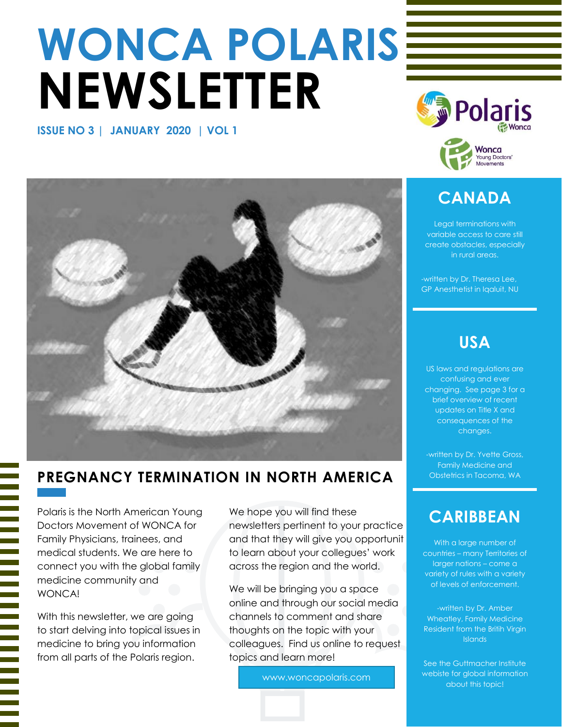# **WONCA POLARIS NEWSLETTER**

**ISSUE NO 3 | JANUARY 2020 | VOL 1**



# **CANADA**

**Movements** 

Legal terminations with variable access to care still create obstacles, especially in rural areas.

-written by Dr. Theresa Lee, GP Anesthetist in Iqaluit, NU

# **USA**

US laws and regulations are confusing and ever changing. See page 3 for a brief overview of recent updates on Title X and consequences of the changes.

Family Medicine and

# **CARIBBEAN**

With a large number of countries – many Territories of larger nations – come a variety of rules with a variety of levels of enforcement.

-written by Dr. Amber Wheatley, Family Medicine Resident from the Britih Virgin **Islands** 

See the Guttmacher Institute webiste for global information about this topic!



# **PREGNANCY TERMINATION IN NORTH AMERICA Let Up Sobstetrics in Tacoma, WA**

Polaris is the North American Young Doctors Movement of WONCA for Family Physicians, trainees, and medical students. We are here to connect you with the global family medicine community and **WONCAL** 

With this newsletter, we are going to start delving into topical issues in medicine to bring you information from all parts of the Polaris region.

We hope you will find these newsletters pertinent to your practice and that they will give you opportunit to learn about your collegues' work across the region and the world.

We will be bringing you a space online and through our social media channels to comment and share thoughts on the topic with your colleagues. Find us online to request topics and learn more!

www.woncapolaris.com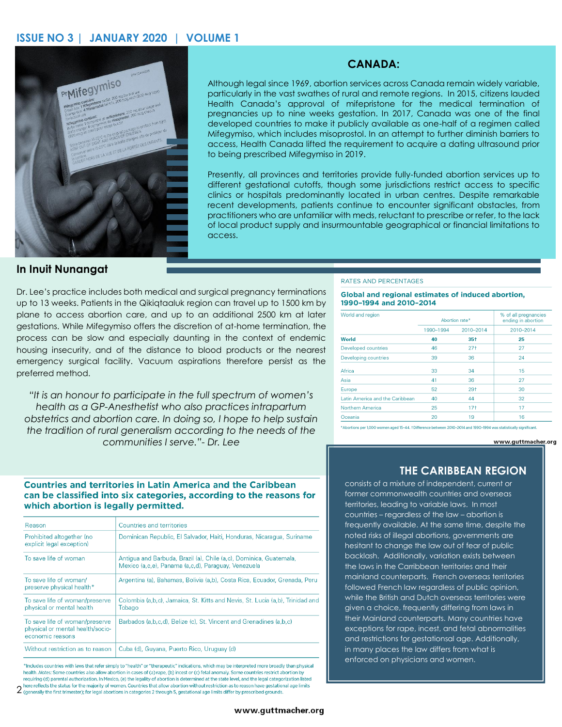#### **ISSUE NO 3 | JANUARY 2020 | VOLUME 1**



#### **CANADA:**

Although legal since 1969, abortion services across Canada remain widely variable, particularly in the vast swathes of rural and remote regions. In 2015, citizens lauded Health Canada's approval of mifepristone for the medical termination of pregnancies up to nine weeks gestation. In 2017, Canada was one of the final developed countries to make it publicly available as one-half of a regimen called Mifegymiso, which includes misoprostol. In an attempt to further diminish barriers to access, Health Canada lifted the requirement to acquire a dating ultrasound prior to being prescribed Mifegymiso in 2019.

Presently, all provinces and territories provide fully-funded abortion services up to different gestational cutoffs, though some jurisdictions restrict access to specific clinics or hospitals predominantly located in urban centres. Despite remarkable recent developments, patients continue to encounter significant obstacles, from practitioners who are unfamiliar with meds, reluctant to prescribe or refer, to the lack of local product supply and insurmountable geographical or financial limitations to access.

#### **In Inuit Nunangat**

Dr. Lee's practice includes both medical and surgical pregnancy terminations up to 13 weeks. Patients in the Qikiqtaaluk region can travel up to 1500 km by plane to access abortion care, and up to an additional 2500 km at later gestations. While Mifegymiso offers the discretion of at-home termination, the process can be slow and especially daunting in the context of endemic housing insecurity, and of the distance to blood products or the nearest emergency surgical facility. Vacuum aspirations therefore persist as the preferred method.

*"It is an honour to participate in the full spectrum of women's health as a GP-Anesthetist who also practices intrapartum obstetrics and abortion care. In doing so, I hope to help sustain the tradition of rural generalism according to the needs of the communities I serve."- Dr. Lee*

#### RATES AND PERCENTAGES

Global and regional estimates of induced abortion, 1990-1994 and 2010-2014

| World and region                | Abortion rate* |           | % of all pregnancies<br>ending in abortion |
|---------------------------------|----------------|-----------|--------------------------------------------|
|                                 | 1990-1994      | 2010-2014 | 2010-2014                                  |
| World                           | 40             | $35+$     | 25                                         |
| Developed countries             | 46             | $27+$     | 27                                         |
| Developing countries            | 39             | 36        | 24                                         |
| Africa                          | 33             | 34        | 15                                         |
| Asia                            | 41             | 36        | 27                                         |
| Europe                          | 52             | $29+$     | 30                                         |
| Latin America and the Caribbean | 40             | 44        | 32                                         |
| Northern America                | 25             | $17+$     | 17                                         |
| Oceania                         | 20             | 19        | 16                                         |

\*Abortions per 1.000 women aged 15-44, †Difference between 2010-2014 and 1990-1994 was statistically significant.

www.guttmacher.org

#### **Countries and territories in Latin America and the Caribbean** can be classified into six categories, according to the reasons for which abortion is legally permitted.

| Reason                                                                                 | Countries and territories                                                                                                 |  |
|----------------------------------------------------------------------------------------|---------------------------------------------------------------------------------------------------------------------------|--|
| Prohibited altogether (no<br>explicit legal exception)                                 | Dominican Republic, El Salvador, Haiti, Honduras, Nicaragua, Suriname                                                     |  |
| To save life of woman                                                                  | Antigua and Barbuda, Brazil (a), Chile (a,c), Dominica, Guatemala,<br>Mexico (a.c.e), Panama (a.c.d), Paraguay, Venezuela |  |
| To save life of woman/<br>preserve physical health*                                    | Argentina (a), Bahamas, Bolivia (a,b), Costa Rica, Ecuador, Grenada, Peru                                                 |  |
| To save life of woman/preserve<br>physical or mental health                            | Colombia (a,b,c), Jamaica, St. Kitts and Nevis, St. Lucia (a,b), Trinidad and<br>Tobago                                   |  |
| To save life of woman/preserve<br>physical or mental health/socio-<br>economic reasons | Barbados (a,b,c,d), Belize (c), St. Vincent and Grenadines (a,b,c)                                                        |  |
| Without restriction as to reason                                                       | Cuba (d), Guyana, Puerto Rico, Uruguay (d)                                                                                |  |

\*Includes countries with laws that refer simply to "health" or "therapeutic" indications, which may be interpreted more broadly than physical health. Notes: Some countries also allow abortion in cases of (a) rape. (b) incest or (c) fetal anomaly. Some countries restrict abortion by requiring (d) parental authorization. In Mexico, (e) the legality of abortion is determined at the state level, and the legal categorization listed ere reflects the status for the majority of women. Countries that allow abortion without restriction as to reason have gestational age limits

2 reflect reflects the status for the indeed of chemical section of the chemical state of the state of the state of the state of gounds.

## **THE CARIBBEAN REGION**

consists of a mixture of independent, current or former commonwealth countries and overseas territories, leading to variable laws. In most countries – regardless of the law – abortion is frequently available. At the same time, despite the noted risks of illegal abortions, governments are hesitant to change the law out of fear of public backlash. Additionally, variation exists between the laws in the Carribbean territories and their mainland counterparts. French overseas territories followed French law regardless of public opinion, while the British and Dutch overseas territories were given a choice, frequently differing from laws in their Mainland counterparts. Many countries have exceptions for rape, incest, and fetal abnormalities and restrictions for gestationsal age. Additionally, in many places the law differs from what is enforced on physicians and women.